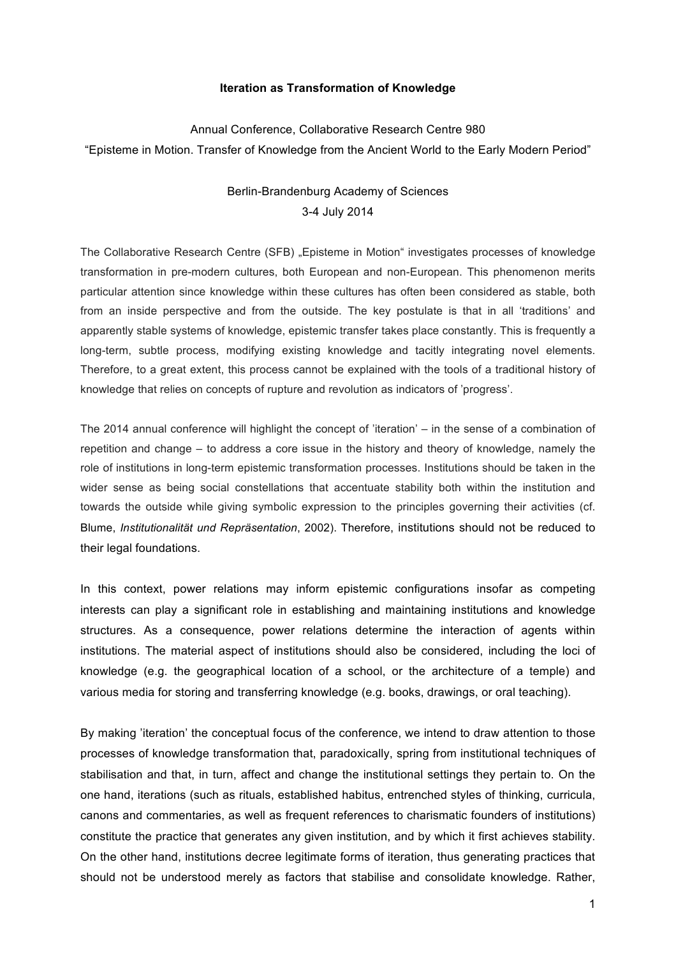## **Iteration as Transformation of Knowledge**

## Annual Conference, Collaborative Research Centre 980 "Episteme in Motion. Transfer of Knowledge from the Ancient World to the Early Modern Period"

## Berlin-Brandenburg Academy of Sciences 3-4 July 2014

The Collaborative Research Centre (SFB) "Episteme in Motion" investigates processes of knowledge transformation in pre-modern cultures, both European and non-European. This phenomenon merits particular attention since knowledge within these cultures has often been considered as stable, both from an inside perspective and from the outside. The key postulate is that in all 'traditions' and apparently stable systems of knowledge, epistemic transfer takes place constantly. This is frequently a long-term, subtle process, modifying existing knowledge and tacitly integrating novel elements. Therefore, to a great extent, this process cannot be explained with the tools of a traditional history of knowledge that relies on concepts of rupture and revolution as indicators of 'progress'.

The 2014 annual conference will highlight the concept of 'iteration' – in the sense of a combination of repetition and change – to address a core issue in the history and theory of knowledge, namely the role of institutions in long-term epistemic transformation processes. Institutions should be taken in the wider sense as being social constellations that accentuate stability both within the institution and towards the outside while giving symbolic expression to the principles governing their activities (cf. Blume, *Institutionalität und Repräsentation*, 2002). Therefore, institutions should not be reduced to their legal foundations.

In this context, power relations may inform epistemic configurations insofar as competing interests can play a significant role in establishing and maintaining institutions and knowledge structures. As a consequence, power relations determine the interaction of agents within institutions. The material aspect of institutions should also be considered, including the loci of knowledge (e.g. the geographical location of a school, or the architecture of a temple) and various media for storing and transferring knowledge (e.g. books, drawings, or oral teaching).

By making 'iteration' the conceptual focus of the conference, we intend to draw attention to those processes of knowledge transformation that, paradoxically, spring from institutional techniques of stabilisation and that, in turn, affect and change the institutional settings they pertain to. On the one hand, iterations (such as rituals, established habitus, entrenched styles of thinking, curricula, canons and commentaries, as well as frequent references to charismatic founders of institutions) constitute the practice that generates any given institution, and by which it first achieves stability. On the other hand, institutions decree legitimate forms of iteration, thus generating practices that should not be understood merely as factors that stabilise and consolidate knowledge. Rather,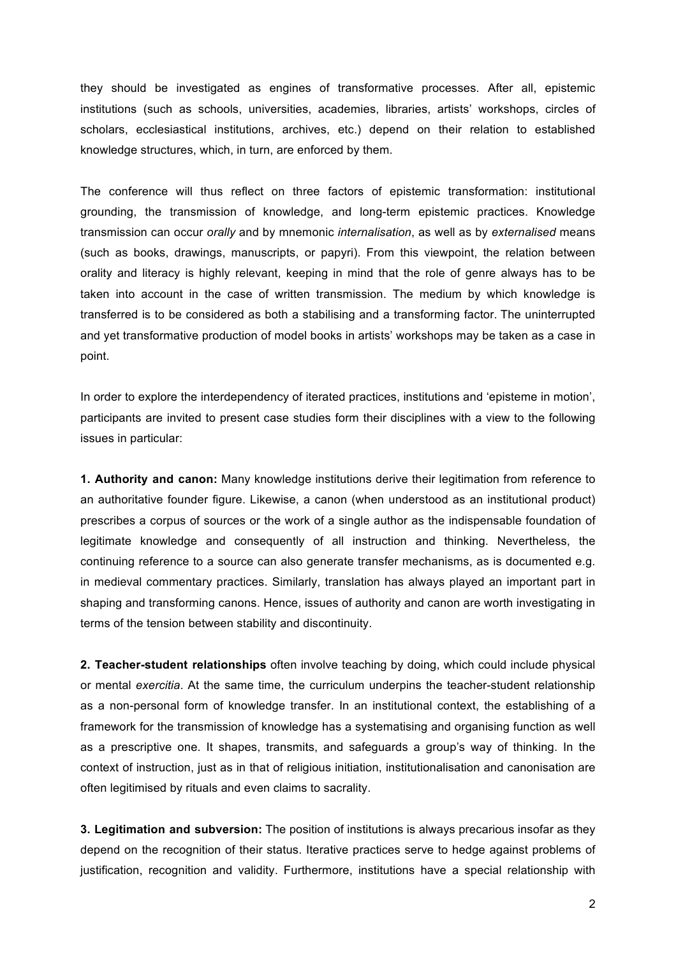they should be investigated as engines of transformative processes. After all, epistemic institutions (such as schools, universities, academies, libraries, artists' workshops, circles of scholars, ecclesiastical institutions, archives, etc.) depend on their relation to established knowledge structures, which, in turn, are enforced by them.

The conference will thus reflect on three factors of epistemic transformation: institutional grounding, the transmission of knowledge, and long-term epistemic practices. Knowledge transmission can occur *orally* and by mnemonic *internalisation*, as well as by *externalised* means (such as books, drawings, manuscripts, or papyri). From this viewpoint, the relation between orality and literacy is highly relevant, keeping in mind that the role of genre always has to be taken into account in the case of written transmission. The medium by which knowledge is transferred is to be considered as both a stabilising and a transforming factor. The uninterrupted and yet transformative production of model books in artists' workshops may be taken as a case in point.

In order to explore the interdependency of iterated practices, institutions and 'episteme in motion', participants are invited to present case studies form their disciplines with a view to the following issues in particular:

**1. Authority and canon:** Many knowledge institutions derive their legitimation from reference to an authoritative founder figure. Likewise, a canon (when understood as an institutional product) prescribes a corpus of sources or the work of a single author as the indispensable foundation of legitimate knowledge and consequently of all instruction and thinking. Nevertheless, the continuing reference to a source can also generate transfer mechanisms, as is documented e.g. in medieval commentary practices. Similarly, translation has always played an important part in shaping and transforming canons. Hence, issues of authority and canon are worth investigating in terms of the tension between stability and discontinuity.

**2. Teacher-student relationships** often involve teaching by doing, which could include physical or mental *exercitia*. At the same time, the curriculum underpins the teacher-student relationship as a non-personal form of knowledge transfer. In an institutional context, the establishing of a framework for the transmission of knowledge has a systematising and organising function as well as a prescriptive one. It shapes, transmits, and safeguards a group's way of thinking. In the context of instruction, just as in that of religious initiation, institutionalisation and canonisation are often legitimised by rituals and even claims to sacrality.

**3. Legitimation and subversion:** The position of institutions is always precarious insofar as they depend on the recognition of their status. Iterative practices serve to hedge against problems of justification, recognition and validity. Furthermore, institutions have a special relationship with